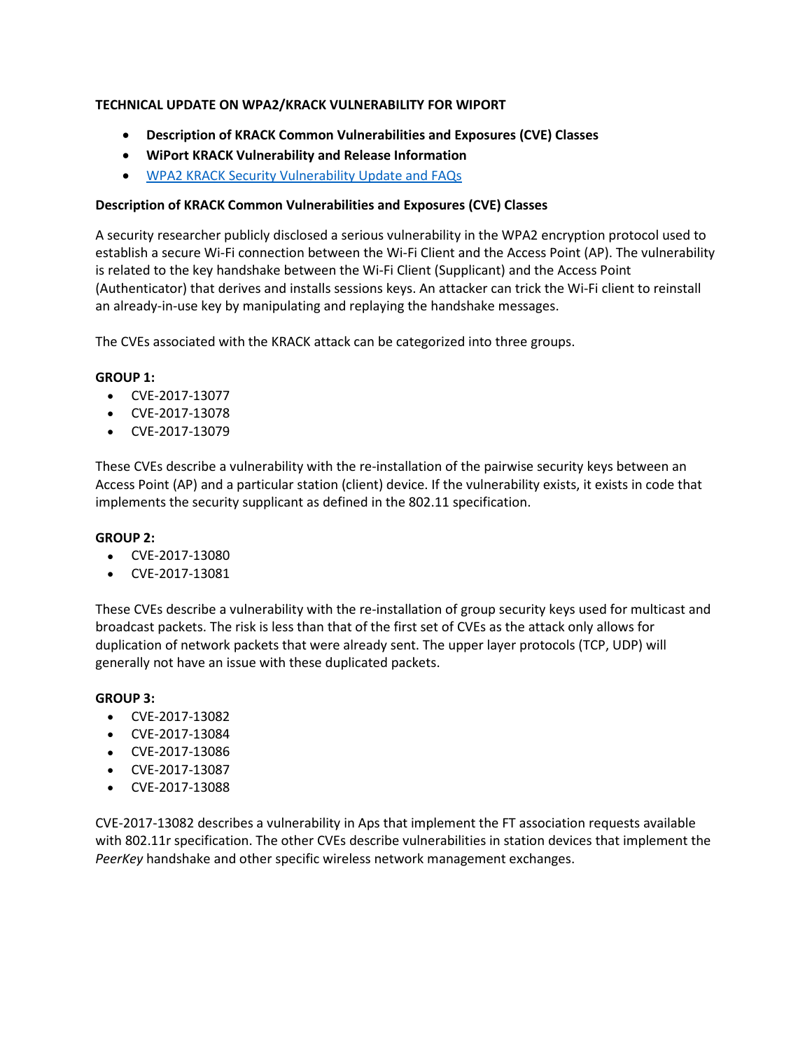# **TECHNICAL UPDATE ON WPA2/KRACK VULNERABILITY FOR WIPORT**

- **Description of KRACK Common Vulnerabilities and Exposures (CVE) Classes**
- **WiPort KRACK Vulnerability and Release Information**
- [WPA2 KRACK Security Vulnerability Update and FAQs](https://www.lantronix.com/wpa2-krack-vulnerabilities-faqs/)

# **Description of KRACK Common Vulnerabilities and Exposures (CVE) Classes**

A security researcher publicly disclosed a serious vulnerability in the WPA2 encryption protocol used to establish a secure Wi-Fi connection between the Wi-Fi Client and the Access Point (AP). The vulnerability is related to the key handshake between the Wi-Fi Client (Supplicant) and the Access Point (Authenticator) that derives and installs sessions keys. An attacker can trick the Wi-Fi client to reinstall an already-in-use key by manipulating and replaying the handshake messages.

The CVEs associated with the KRACK attack can be categorized into three groups.

# **GROUP 1:**

- CVE-2017-13077
- CVE-2017-13078
- CVE-2017-13079

These CVEs describe a vulnerability with the re-installation of the pairwise security keys between an Access Point (AP) and a particular station (client) device. If the vulnerability exists, it exists in code that implements the security supplicant as defined in the 802.11 specification.

### **GROUP 2:**

- CVE-2017-13080
- CVE-2017-13081

These CVEs describe a vulnerability with the re-installation of group security keys used for multicast and broadcast packets. The risk is less than that of the first set of CVEs as the attack only allows for duplication of network packets that were already sent. The upper layer protocols (TCP, UDP) will generally not have an issue with these duplicated packets.

### **GROUP 3:**

- CVE-2017-13082
- CVE-2017-13084
- CVE-2017-13086
- CVE-2017-13087
- CVE-2017-13088

CVE-2017-13082 describes a vulnerability in Aps that implement the FT association requests available with 802.11r specification. The other CVEs describe vulnerabilities in station devices that implement the *PeerKey* handshake and other specific wireless network management exchanges.